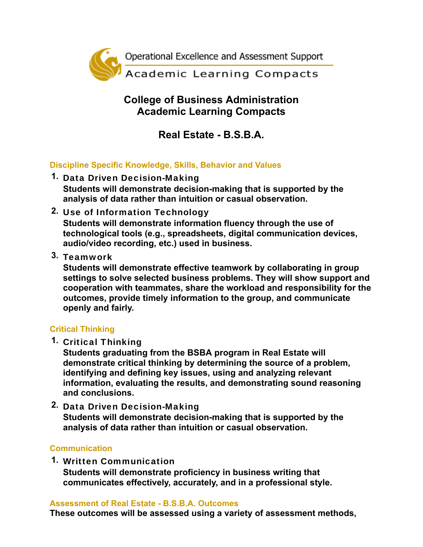

## **College of Business Administration Academic Learning Compacts**

# **Real Estate - B.S.B.A.**

### **Discipline Specific Knowledge, Skills, Behavior and Values**

- **1.** Data Driven Decision-Making **Students will demonstrate decision-making that is supported by the analysis of data rather than intuition or casual observation.**
- **2.** Use of Information Technology **Students will demonstrate information fluency through the use of technological tools (e.g., spreadsheets, digital communication devices, audio/video recording, etc.) used in business.**
- **3.** Teamwork

**Students will demonstrate effective teamwork by collaborating in group settings to solve selected business problems. They will show support and cooperation with teammates, share the workload and responsibility for the outcomes, provide timely information to the group, and communicate openly and fairly.**

#### **Critical Thinking**

**1.** Critical Thinking

**Students graduating from the BSBA program in Real Estate will demonstrate critical thinking by determining the source of a problem, identifying and defining key issues, using and analyzing relevant information, evaluating the results, and demonstrating sound reasoning and conclusions.**

**2.** Data Driven Decision-Making **Students will demonstrate decision-making that is supported by the analysis of data rather than intuition or casual observation.**

#### **Communication**

**1.** Written Communication **Students will demonstrate proficiency in business writing that communicates effectively, accurately, and in a professional style.**

#### **Assessment of Real Estate - B.S.B.A. Outcomes**

**These outcomes will be assessed using a variety of assessment methods,**